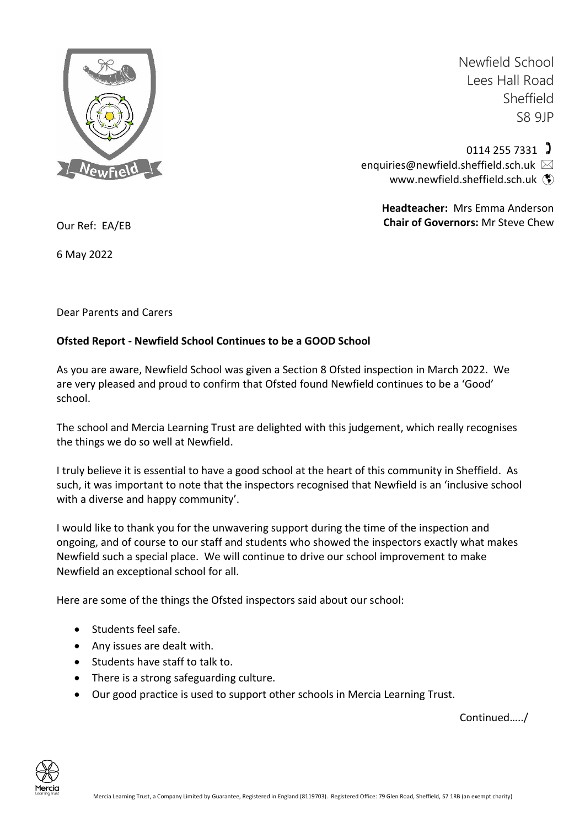

Newfield School Lees Hall Road Sheffield S8 9JP

 $0114$  255 7331  $\sqrt{ }$ enquiries@newfield.sheffield.sch.uk [www.newfield.sheffield.sch.uk](http://www.newfield.sheffield.sch.uk/) (\*)

> **Headteacher:** Mrs Emma Anderson **Chair of Governors:** Mr Steve Chew

Our Ref: EA/EB

6 May 2022

Dear Parents and Carers

## **Ofsted Report - Newfield School Continues to be a GOOD School**

As you are aware, Newfield School was given a Section 8 Ofsted inspection in March 2022. We are very pleased and proud to confirm that Ofsted found Newfield continues to be a 'Good' school.

The school and Mercia Learning Trust are delighted with this judgement, which really recognises the things we do so well at Newfield.

I truly believe it is essential to have a good school at the heart of this community in Sheffield. As such, it was important to note that the inspectors recognised that Newfield is an 'inclusive school with a diverse and happy community'.

I would like to thank you for the unwavering support during the time of the inspection and ongoing, and of course to our staff and students who showed the inspectors exactly what makes Newfield such a special place. We will continue to drive our school improvement to make Newfield an exceptional school for all.

Here are some of the things the Ofsted inspectors said about our school:

- Students feel safe.
- Any issues are dealt with.
- Students have staff to talk to.
- There is a strong safeguarding culture.
- Our good practice is used to support other schools in Mercia Learning Trust.

Continued…../